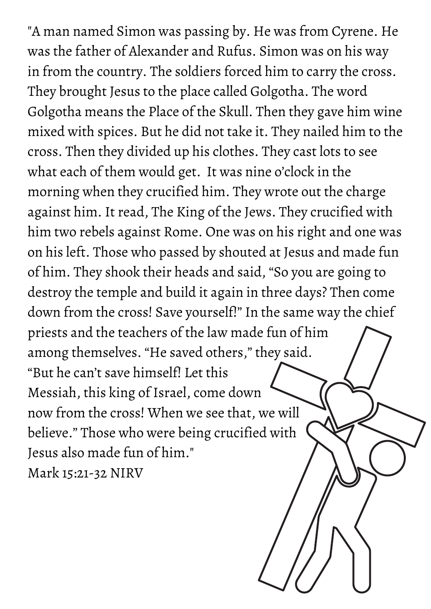"A man named Simon was passing by. He was from Cyrene. He was the father of Alexander and Rufus. Simon was on his way in from the country. The soldiers forced him to carry the cross. They brought Jesus to the place called Golgotha. The word Golgotha means the Place of the Skull. Then they gave him wine mixed with spices. But he did not take it. They nailed him to the cross. Then they divided up his clothes. They cast lots to see what each of them would get. It was nine o'clock in the morning when they crucified him. They wrote out the charge against him. It read, The King of the Jews. They crucified with him two rebels against Rome. One was on his right and one was on his left. Those who passed by shouted at Jesus and made fun of him. They shook their heads and said, "So you are going to destroy the temple and build it again in three days? Then come down from the cross! Save yourself!" In the same way the chief priests and the teachers of the law made fun of him among themselves. "He saved others, " they said. "But he can't save himself! Let this Messiah, this king of Israel, come down now from the cross! When we see that, we will believe." Those who were being crucified with Jesus also made fun of him." Mark 15:21-32 NIRV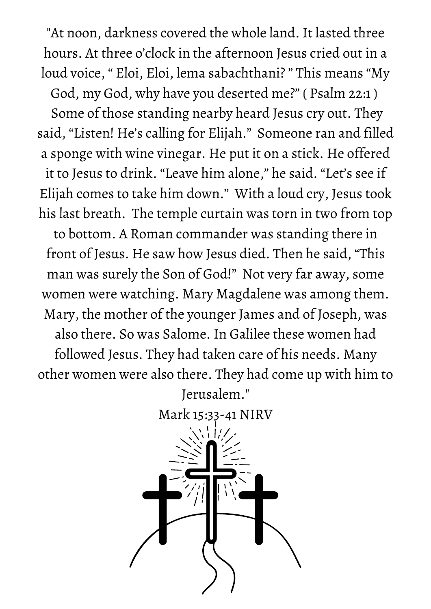"At noon, darkness covered the whole land. It lasted three hours. At three o'clock in the afternoon Jesus cried out in a loud voice, " Eloi, Eloi, lema sabachthani? " This means "My

God, my God, why have you deserted me?" ( Psalm 22:1 )

Some of those standing nearby heard Jesus cry out. They said, "Listen! He's calling for Elijah." Someone ran and filled a sponge with wine vinegar. He put it on a stick. He offered it to Jesus to drink. "Leave him alone, " he said. "Let's see if Elijah comes to take him down." With a loud cry, Jesus took his last breath. The temple curtain was torn in two from top

to bottom. A Roman commander was standing there in front of Jesus. He saw how Jesus died. Then he said, "This man was surely the Son of God!" Not very far away, some women were watching. Mary Magdalene was among them. Mary, the mother of the younger James and of Joseph, was also there. So was Salome. In Galilee these women had followed Jesus. They had taken care of his needs. Many other women were also there. They had come up with him to

> Jerusalem." Mark 15:33-41 NIRV

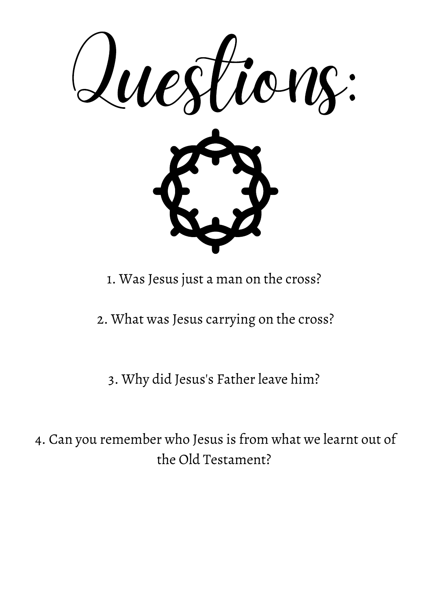

1. Was Jesus just a man on the cross?

2. What was Jesus carrying on the cross?

3. Why did Jesus's Father leave him?

4. Can you remember who Jesus is from what we learnt out of the Old Testament?